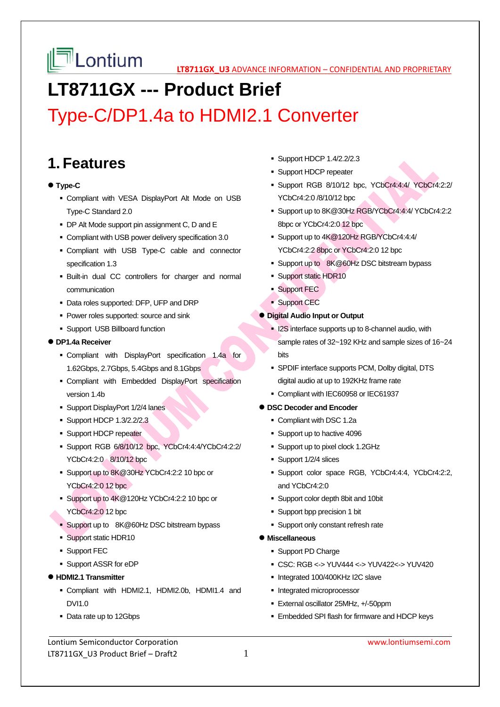# **LT8711GX --- Product Brief**

# Type-C/DP1.4a to HDMI2.1 Converter

## **1. Features**

### **Type-C**

- Compliant with VESA DisplayPort Alt Mode on USB Type-C Standard 2.0
- DP Alt Mode support pin assignment C, D and E
- Compliant with USB power delivery specification 3.0
- Compliant with USB Type-C cable and connector specification 1.3
- Built-in dual CC controllers for charger and normal communication
- Data roles supported: DFP, UFP and DRP
- **Power roles supported: source and sink**
- **Support USB Billboard function**

#### **DP1.4a Receiver**

- Compliant with DisplayPort specification 1.4a for 1.62Gbps, 2.7Gbps, 5.4Gbps and 8.1Gbps
- Compliant with Embedded DisplayPort specification version 1.4b
- **Support DisplayPort 1/2/4 lanes**
- **Support HDCP 1.3/2.2/2.3**
- **Support HDCP repeater**
- Support RGB 6/8/10/12 bpc, YCbCr4:4:4/YCbCr4:2:2/ YCbCr4:2:0 8/10/12 bpc
- Support up to 8K@30Hz YCbCr4:2:2 10 bpc or YCbCr4:2:0 12 bpc
- Support up to 4K@120Hz YCbCr4:2:2 10 bpc or YCbCr4:2:0 12 bpc
- **Support up to 8K@60Hz DSC bitstream bypass**
- **Support static HDR10**
- **Support FEC**
- Support ASSR for eDP
- **HDMI2.1 Transmitter** 
	- Compliant with HDMI2.1, HDMI2.0b, HDMI1.4 and DVI1.0
	- Data rate up to 12Gbps
- **Support HDCP 1.4/2.2/2.3**
- **Support HDCP repeater**
- Support RGB 8/10/12 bpc, YCbCr4:4:4/ YCbCr4:2:2/ YCbCr4:2:0 /8/10/12 bpc
- Support up to 8K@30Hz RGB/YCbCr4:4:4/ YCbCr4:2:2 8bpc or YCbCr4:2:0 12 bpc
- Support up to  $4K@120Hz$  RGB/YCbCr4:4:4/ YCbCr4:2:2 8bpc or YCbCr4:2:0 12 bpc
- Support up to 8K@60Hz DSC bitstream bypass
- **Support static HDR10**
- Support FEC
- **Support CEC**
- **Digital Audio Input or Output** 
	- **I2S interface supports up to 8-channel audio, with** sample rates of 32~192 KHz and sample sizes of 16~24 bits
	- SPDIF interface supports PCM, Dolby digital, DTS digital audio at up to 192KHz frame rate
	- Compliant with IEC60958 or IEC61937

### **DSC Decoder and Encoder**

- Compliant with DSC 1.2a
- Support up to hactive 4096
- Support up to pixel clock 1.2GHz
- Support 1/2/4 slices
- Support color space RGB, YCbCr4:4:4, YCbCr4:2:2, and YCbCr4:2:0
- Support color depth 8bit and 10bit
- Support bpp precision 1 bit
- **Support only constant refresh rate**
- **Miscellaneous** 
	- **Support PD Charge**
	- CSC: RGB <-> YUV444 <-> YUV422<-> YUV420
	- Integrated 100/400KHz I2C slave
	- **Integrated microprocessor**
	- External oscillator 25MHz, +/-50ppm
	- **Embedded SPI flash for firmware and HDCP keys**

Lontium Semiconductor Corporation www.lontiumsemi.com LT8711GX\_U3 Product Brief – Draft2 1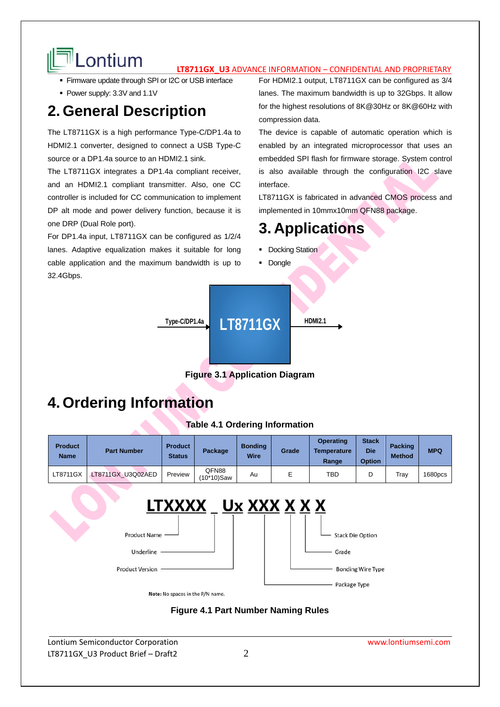# **Lontium THESPAING CONFIDENTIAL AND PROPRIETARY**

- Firmware update through SPI or I2C or USB interface
- Power supply: 3.3V and 1.1V

# **2. General Description**

The LT8711GX is a high performance Type-C/DP1.4a to HDMI2.1 converter, designed to connect a USB Type-C source or a DP1.4a source to an HDMI2.1 sink.

The LT8711GX integrates a DP1.4a compliant receiver, and an HDMI2.1 compliant transmitter. Also, one CC controller is included for CC communication to implement DP alt mode and power delivery function, because it is one DRP (Dual Role port).

For DP1.4a input, LT8711GX can be configured as 1/2/4 lanes. Adaptive equalization makes it suitable for long cable application and the maximum bandwidth is up to 32.4Gbps.

For HDMI2.1 output, LT8711GX can be configured as 3/4 lanes. The maximum bandwidth is up to 32Gbps. It allow for the highest resolutions of 8K@30Hz or 8K@60Hz with compression data.

The device is capable of automatic operation which is enabled by an integrated microprocessor that uses an embedded SPI flash for firmware storage. System control is also available through the configuration I2C slave interface.

LT8711GX is fabricated in advanced CMOS process and implemented in 10mmx10mm QFN88 package.

Stack Die Option

**Bonding Wire Type** 

Package Type

Grade

## **3. Applications**

- Docking Station
- Dongle



**Figure 3.1 Application Diagram** 

# **4. Ordering Information**



| <b>Product</b><br><b>Name</b>                                         | <b>Part Number</b> | <b>Product</b><br><b>Status</b> | Package                | <b>Bonding</b><br><b>Wire</b> | Grade | <b>Operating</b><br><b>Temperature</b><br>Range | <b>Stack</b><br><b>Die</b><br><b>Option</b> | <b>Packing</b><br><b>Method</b> | <b>MPQ</b> |
|-----------------------------------------------------------------------|--------------------|---------------------------------|------------------------|-------------------------------|-------|-------------------------------------------------|---------------------------------------------|---------------------------------|------------|
| LT8711GX                                                              | LT8711GX U3Q02AED  | Preview                         | QFN88<br>$(10*10)$ Saw | Au                            | E     | <b>TBD</b>                                      | D                                           | Tray                            | 1680pcs    |
| LTXXXX Ux XXX X X X<br><b>Product Name</b><br><b>Stack Die Option</b> |                    |                                 |                        |                               |       |                                                 |                                             |                                 |            |

Underline **Product Version** 





Lontium Semiconductor Corporation www.lontiumsemi.com LT8711GX\_U3 Product Brief  $-$  Draft2  $2$